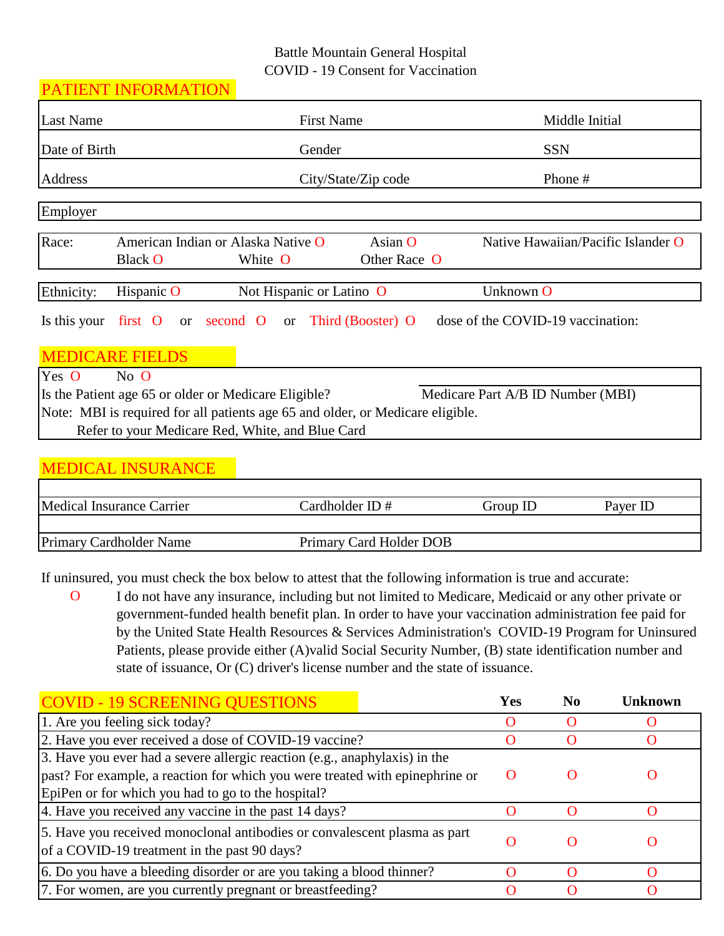## Battle Mountain General Hospital COVID - 19 Consent for Vaccination

|                  | PATIENT INFORMATION      |                                                                                |                         |                                    |  |  |
|------------------|--------------------------|--------------------------------------------------------------------------------|-------------------------|------------------------------------|--|--|
| <b>Last Name</b> |                          | <b>First Name</b>                                                              |                         | Middle Initial                     |  |  |
| Date of Birth    |                          | Gender                                                                         |                         | <b>SSN</b>                         |  |  |
| Address          |                          |                                                                                | City/State/Zip code     | Phone #                            |  |  |
| Employer         |                          |                                                                                |                         |                                    |  |  |
| Race:            | <b>Black O</b>           | American Indian or Alaska Native O<br>White O                                  | Asian O<br>Other Race O | Native Hawaiian/Pacific Islander O |  |  |
| Ethnicity:       | Hispanic O               | Not Hispanic or Latino O                                                       |                         | Unknown O                          |  |  |
| Is this your     | first O                  | or second O or Third (Booster) O                                               |                         | dose of the COVID-19 vaccination:  |  |  |
|                  | <b>MEDICARE FIELDS</b>   |                                                                                |                         |                                    |  |  |
| Yes O            | No O                     |                                                                                |                         |                                    |  |  |
|                  |                          | Is the Patient age 65 or older or Medicare Eligible?                           |                         | Medicare Part A/B ID Number (MBI)  |  |  |
|                  |                          | Note: MBI is required for all patients age 65 and older, or Medicare eligible. |                         |                                    |  |  |
|                  |                          | Refer to your Medicare Red, White, and Blue Card                               |                         |                                    |  |  |
|                  |                          |                                                                                |                         |                                    |  |  |
|                  | <b>MEDICAL INSURANCE</b> |                                                                                |                         |                                    |  |  |
|                  |                          |                                                                                |                         |                                    |  |  |

| Medical Insurance Carrier                                 | $\emph{Cardholder}$ $\emph{ID}\#$ | Group ID | Paver ID |
|-----------------------------------------------------------|-----------------------------------|----------|----------|
|                                                           |                                   |          |          |
| <b>Primary Cardholder Name</b><br>Primary Card Holder DOB |                                   |          |          |

If uninsured, you must check the box below to attest that the following information is true and accurate:

O I do not have any insurance, including but not limited to Medicare, Medicaid or any other private or government-funded health benefit plan. In order to have your vaccination administration fee paid for by the United State Health Resources & Services Administration's COVID-19 Program for Uninsured Patients, please provide either (A)valid Social Security Number, (B) state identification number and state of issuance, Or (C) driver's license number and the state of issuance.

| <b>COVID - 19 SCREENING QUESTIONS</b>                                                                                                                                                                            |  | Yes | No | <b>Unknown</b> |
|------------------------------------------------------------------------------------------------------------------------------------------------------------------------------------------------------------------|--|-----|----|----------------|
| 1. Are you feeling sick today?                                                                                                                                                                                   |  |     |    |                |
| 2. Have you ever received a dose of COVID-19 vaccine?                                                                                                                                                            |  |     |    |                |
| 3. Have you ever had a severe allergic reaction (e.g., anaphylaxis) in the<br>past? For example, a reaction for which you were treated with epinephrine or<br>EpiPen or for which you had to go to the hospital? |  |     |    |                |
| 4. Have you received any vaccine in the past 14 days?                                                                                                                                                            |  |     |    |                |
| 5. Have you received monoclonal antibodies or convalescent plasma as part<br>of a COVID-19 treatment in the past 90 days?                                                                                        |  |     |    |                |
| 6. Do you have a bleeding disorder or are you taking a blood thinner?                                                                                                                                            |  |     |    |                |
| 7. For women, are you currently pregnant or breastfeeding?                                                                                                                                                       |  |     |    |                |